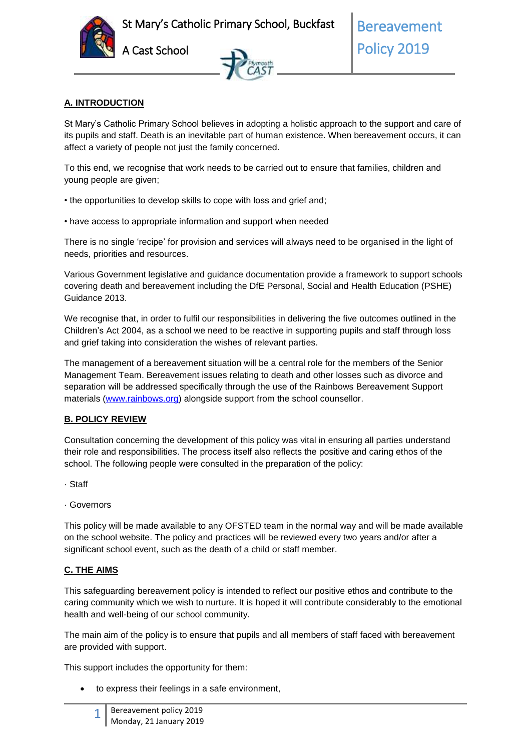



#### **A. INTRODUCTION**

St Mary's Catholic Primary School believes in adopting a holistic approach to the support and care of its pupils and staff. Death is an inevitable part of human existence. When bereavement occurs, it can affect a variety of people not just the family concerned.

To this end, we recognise that work needs to be carried out to ensure that families, children and young people are given;

- the opportunities to develop skills to cope with loss and grief and;
- have access to appropriate information and support when needed

There is no single 'recipe' for provision and services will always need to be organised in the light of needs, priorities and resources.

Various Government legislative and guidance documentation provide a framework to support schools covering death and bereavement including the DfE Personal, Social and Health Education (PSHE) Guidance 2013.

We recognise that, in order to fulfil our responsibilities in delivering the five outcomes outlined in the Children's Act 2004, as a school we need to be reactive in supporting pupils and staff through loss and grief taking into consideration the wishes of relevant parties.

The management of a bereavement situation will be a central role for the members of the Senior Management Team. Bereavement issues relating to death and other losses such as divorce and separation will be addressed specifically through the use of the Rainbows Bereavement Support materials [\(www.rainbows.org\)](http://www.rainbows.org/) alongside support from the school counsellor.

#### **B. POLICY REVIEW**

Consultation concerning the development of this policy was vital in ensuring all parties understand their role and responsibilities. The process itself also reflects the positive and caring ethos of the school. The following people were consulted in the preparation of the policy:

- · Staff
- · Governors

This policy will be made available to any OFSTED team in the normal way and will be made available on the school website. The policy and practices will be reviewed every two years and/or after a significant school event, such as the death of a child or staff member.

#### **C. THE AIMS**

This safeguarding bereavement policy is intended to reflect our positive ethos and contribute to the caring community which we wish to nurture. It is hoped it will contribute considerably to the emotional health and well-being of our school community.

The main aim of the policy is to ensure that pupils and all members of staff faced with bereavement are provided with support.

This support includes the opportunity for them:

to express their feelings in a safe environment,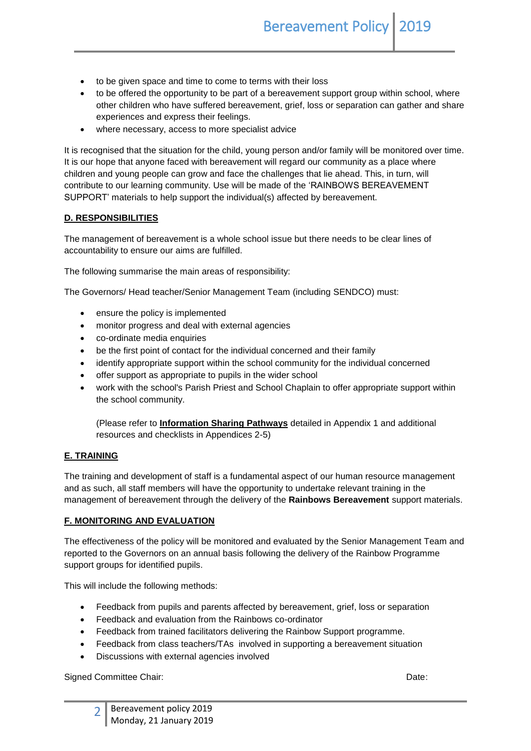- to be given space and time to come to terms with their loss
- to be offered the opportunity to be part of a bereavement support group within school, where other children who have suffered bereavement, grief, loss or separation can gather and share experiences and express their feelings.
- where necessary, access to more specialist advice

It is recognised that the situation for the child, young person and/or family will be monitored over time. It is our hope that anyone faced with bereavement will regard our community as a place where children and young people can grow and face the challenges that lie ahead. This, in turn, will contribute to our learning community. Use will be made of the 'RAINBOWS BEREAVEMENT SUPPORT' materials to help support the individual(s) affected by bereavement.

#### **D. RESPONSIBILITIES**

The management of bereavement is a whole school issue but there needs to be clear lines of accountability to ensure our aims are fulfilled.

The following summarise the main areas of responsibility:

The Governors/ Head teacher/Senior Management Team (including SENDCO) must:

- ensure the policy is implemented
- monitor progress and deal with external agencies
- co-ordinate media enquiries
- be the first point of contact for the individual concerned and their family
- identify appropriate support within the school community for the individual concerned
- offer support as appropriate to pupils in the wider school
- work with the school's Parish Priest and School Chaplain to offer appropriate support within the school community.

(Please refer to **Information Sharing Pathways** detailed in Appendix 1 and additional resources and checklists in Appendices 2-5)

#### **E. TRAINING**

The training and development of staff is a fundamental aspect of our human resource management and as such, all staff members will have the opportunity to undertake relevant training in the management of bereavement through the delivery of the **Rainbows Bereavement** support materials.

#### **F. MONITORING AND EVALUATION**

The effectiveness of the policy will be monitored and evaluated by the Senior Management Team and reported to the Governors on an annual basis following the delivery of the Rainbow Programme support groups for identified pupils.

This will include the following methods:

- Feedback from pupils and parents affected by bereavement, grief, loss or separation
- Feedback and evaluation from the Rainbows co-ordinator
- Feedback from trained facilitators delivering the Rainbow Support programme.
- Feedback from class teachers/TAs involved in supporting a bereavement situation
- Discussions with external agencies involved

Signed Committee Chair: **Date:** Date: **Date:** Date: **Date: Date: Date: Date: Date: Date: Date: Date: Date: Date: Date: Date: Date: Date: Date: Date: Date: Date: Date: Date: Date: D**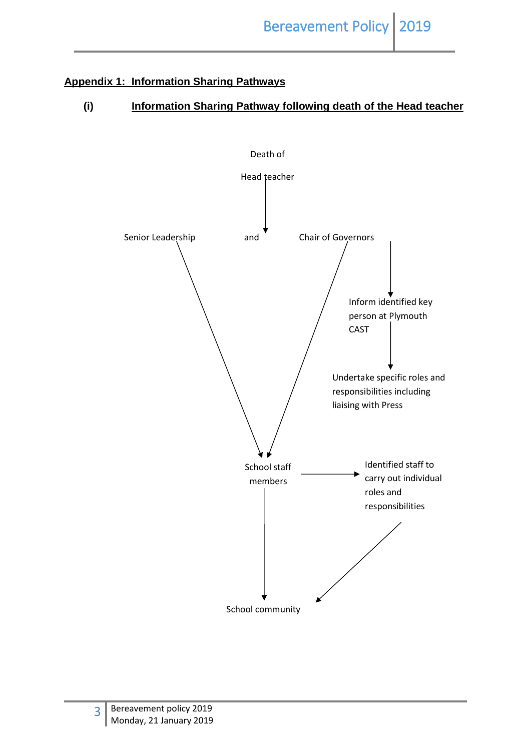# **Appendix 1: Information Sharing Pathways**

## **(i) Information Sharing Pathway following death of the Head teacher**

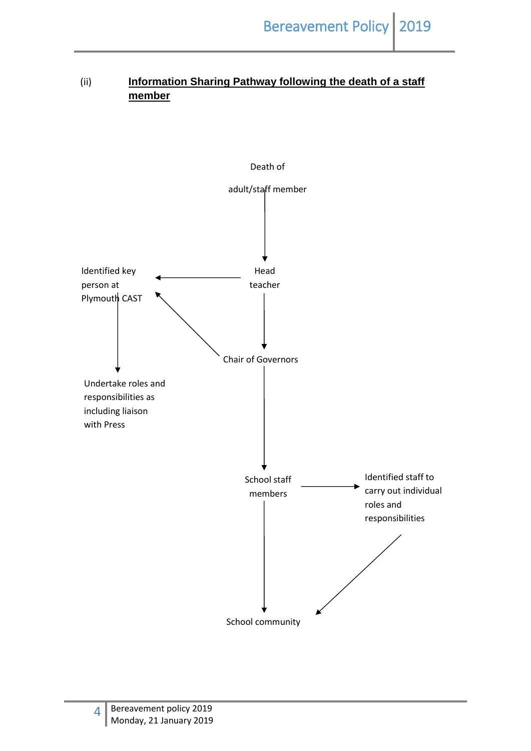# (ii) **Information Sharing Pathway following the death of a staff member**

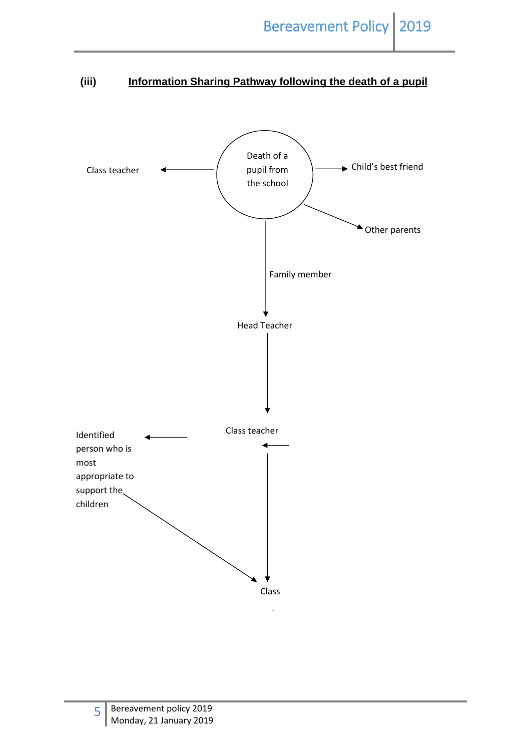# **(iii) Information Sharing Pathway following the death of a pupil**

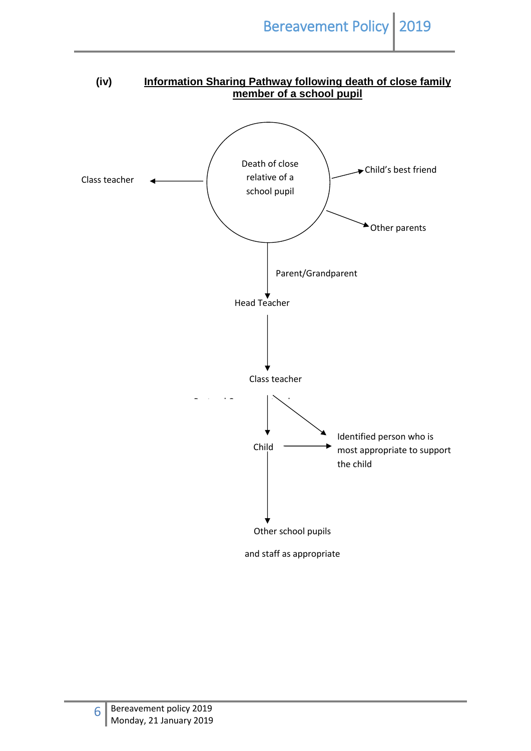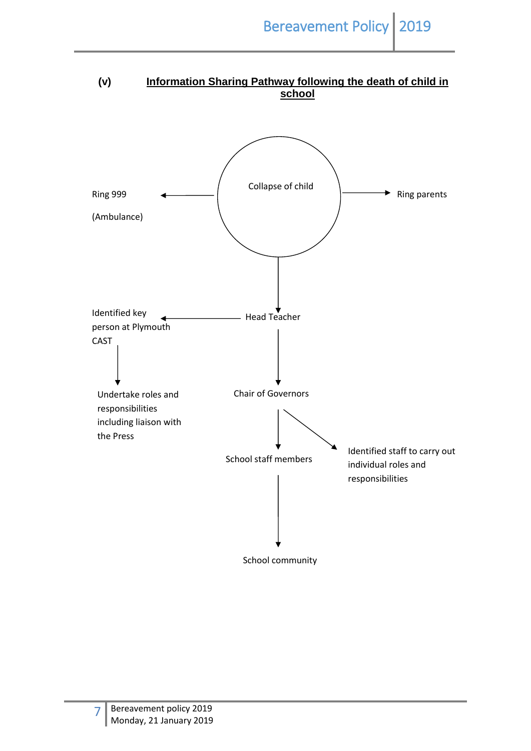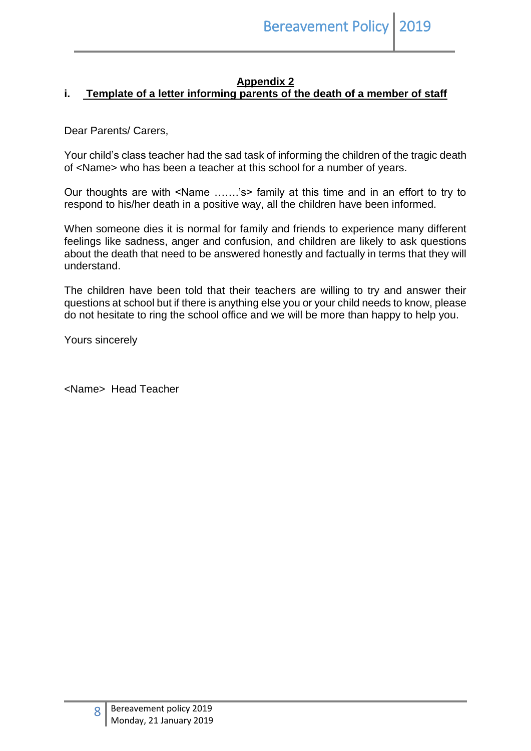## **Appendix 2**

## **i. Template of a letter informing parents of the death of a member of staff**

Dear Parents/ Carers,

Your child's class teacher had the sad task of informing the children of the tragic death of <Name> who has been a teacher at this school for a number of years.

Our thoughts are with <Name …….'s> family at this time and in an effort to try to respond to his/her death in a positive way, all the children have been informed.

When someone dies it is normal for family and friends to experience many different feelings like sadness, anger and confusion, and children are likely to ask questions about the death that need to be answered honestly and factually in terms that they will understand.

The children have been told that their teachers are willing to try and answer their questions at school but if there is anything else you or your child needs to know, please do not hesitate to ring the school office and we will be more than happy to help you.

Yours sincerely

<Name> Head Teacher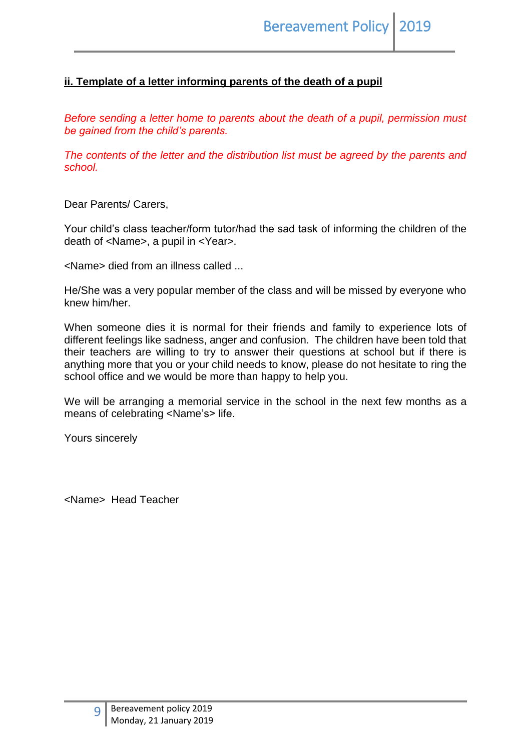## **ii. Template of a letter informing parents of the death of a pupil**

*Before sending a letter home to parents about the death of a pupil, permission must be gained from the child's parents.*

*The contents of the letter and the distribution list must be agreed by the parents and school.*

Dear Parents/ Carers,

Your child's class teacher/form tutor/had the sad task of informing the children of the death of <Name>, a pupil in <Year>.

<Name> died from an illness called ...

He/She was a very popular member of the class and will be missed by everyone who knew him/her.

When someone dies it is normal for their friends and family to experience lots of different feelings like sadness, anger and confusion. The children have been told that their teachers are willing to try to answer their questions at school but if there is anything more that you or your child needs to know, please do not hesitate to ring the school office and we would be more than happy to help you.

We will be arranging a memorial service in the school in the next few months as a means of celebrating <Name's> life.

Yours sincerely

<Name> Head Teacher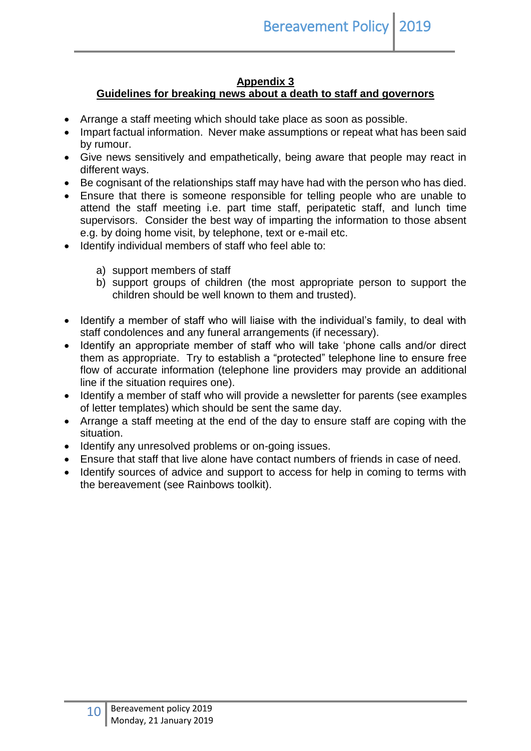## **Appendix 3**

## **Guidelines for breaking news about a death to staff and governors**

- Arrange a staff meeting which should take place as soon as possible.
- Impart factual information. Never make assumptions or repeat what has been said by rumour.
- Give news sensitively and empathetically, being aware that people may react in different ways.
- Be cognisant of the relationships staff may have had with the person who has died.
- Ensure that there is someone responsible for telling people who are unable to attend the staff meeting i.e. part time staff, peripatetic staff, and lunch time supervisors. Consider the best way of imparting the information to those absent e.g. by doing home visit, by telephone, text or e-mail etc.
- Identify individual members of staff who feel able to:
	- a) support members of staff
	- b) support groups of children (the most appropriate person to support the children should be well known to them and trusted).
- Identify a member of staff who will liaise with the individual's family, to deal with staff condolences and any funeral arrangements (if necessary).
- Identify an appropriate member of staff who will take 'phone calls and/or direct them as appropriate. Try to establish a "protected" telephone line to ensure free flow of accurate information (telephone line providers may provide an additional line if the situation requires one).
- Identify a member of staff who will provide a newsletter for parents (see examples of letter templates) which should be sent the same day.
- Arrange a staff meeting at the end of the day to ensure staff are coping with the situation.
- Identify any unresolved problems or on-going issues.
- Ensure that staff that live alone have contact numbers of friends in case of need.
- Identify sources of advice and support to access for help in coming to terms with the bereavement (see Rainbows toolkit).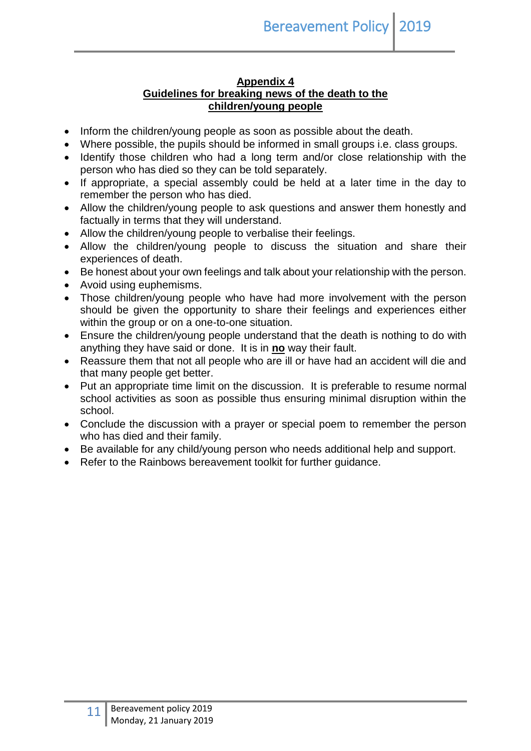### **Appendix 4 Guidelines for breaking news of the death to the children/young people**

- Inform the children/young people as soon as possible about the death.
- Where possible, the pupils should be informed in small groups i.e. class groups.
- Identify those children who had a long term and/or close relationship with the person who has died so they can be told separately.
- If appropriate, a special assembly could be held at a later time in the day to remember the person who has died.
- Allow the children/young people to ask questions and answer them honestly and factually in terms that they will understand.
- Allow the children/young people to verbalise their feelings.
- Allow the children/young people to discuss the situation and share their experiences of death.
- Be honest about your own feelings and talk about your relationship with the person.
- Avoid using euphemisms.
- Those children/young people who have had more involvement with the person should be given the opportunity to share their feelings and experiences either within the group or on a one-to-one situation.
- Ensure the children/young people understand that the death is nothing to do with anything they have said or done. It is in **no** way their fault.
- Reassure them that not all people who are ill or have had an accident will die and that many people get better.
- Put an appropriate time limit on the discussion. It is preferable to resume normal school activities as soon as possible thus ensuring minimal disruption within the school.
- Conclude the discussion with a prayer or special poem to remember the person who has died and their family.
- Be available for any child/young person who needs additional help and support.
- Refer to the Rainbows bereavement toolkit for further quidance.